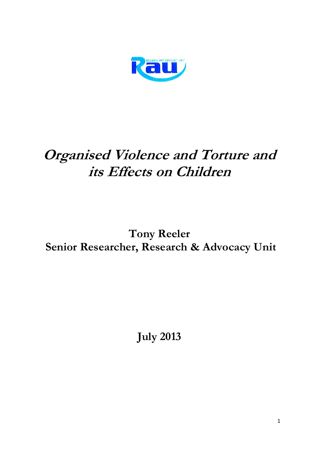

# **Organised Violence and Torture and its Effects on Children**

# **Tony Reeler Senior Researcher, Research & Advocacy Unit**

**July 2013**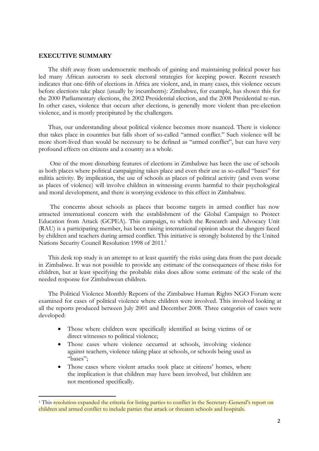#### **EXECUTIVE SUMMARY**

 $\overline{\phantom{a}}$ 

The shift away from undemocratic methods of gaining and maintaining political power has led many African autocrats to seek electoral strategies for keeping power. Recent research indicates that one-fifth of elections in Africa are violent, and, in many cases, this violence occurs before elections take place (usually by incumbents): Zimbabwe, for example, has shown this for the 2000 Parliamentary elections, the 2002 Presidential election, and the 2008 Presidential re-run. In other cases, violence that occurs after elections, is generally more violent than pre-election violence, and is mostly precipitated by the challengers.

Thus, our understanding about political violence becomes more nuanced. There is violence that takes place in countries but falls short of so-called "armed conflict." Such violence will be more short-lived than would be necessary to be defined as "armed conflict", but can have very profound effects on citizens and a country as a whole.

One of the more disturbing features of elections in Zimbabwe has been the use of schools as both places where political campaigning takes place and even their use as so-called "bases" for militia activity. By implication, the use of schools as places of political activity (and even worse as places of violence) will involve children in witnessing events harmful to their psychological and moral development, and there is worrying evidence to this effect in Zimbabwe.

The concerns about schools as places that become targets in armed conflict has now attracted international concern with the establishment of the Global Campaign to Protect Education from Attack (GCPEA). This campaign, to which the Research and Advocacy Unit (RAU) is a participating member, has been raising international opinion about the dangers faced by children and teachers during armed conflict. This initiative is strongly bolstered by the United Nations Security Council Resolution 1998 of 2011.<sup>1</sup>

This desk top study is an attempt to at least quantify the risks using data from the past decade in Zimbabwe. It was not possible to provide any estimate of the consequences of these risks for children, but at least specifying the probable risks does allow some estimate of the scale of the needed response for Zimbabwean children.

The Political Violence Monthly Reports of the Zimbabwe Human Rights NGO Forum were examined for cases of political violence where children were involved. This involved looking at all the reports produced between July 2001 and December 2008. Three categories of cases were developed:

- Those where children were specifically identified as being victims of or direct witnesses to political violence;
- Those cases where violence occurred at schools, involving violence against teachers, violence taking place at schools, or schools being used as "bases";
- Those cases where violent attacks took place at citizens' homes, where the implication is that children may have been involved, but children are not mentioned specifically.

<sup>1</sup> This resolution expanded the criteria for listing parties to conflict in the Secretary-General's report on children and armed conflict to include parties that attack or threaten schools and hospitals.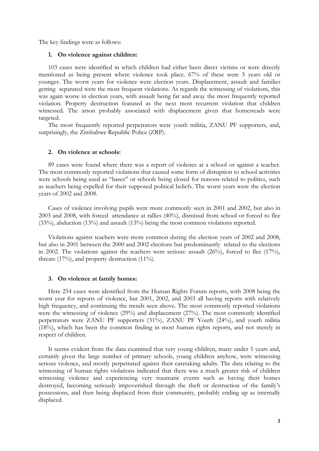The key findings were as follows:

#### **1. On violence against children:**

103 cases were identified in which children had either been direct victims or were directly mentioned as being present where violence took place. 67% of these were 5 years old or younger. The worst years for violence were election years. Displacement, assault and families getting separated were the most frequent violations. As regards the witnessing of violations, this was again worse in election years, with assault being far and away the most frequently reported violation. Property destruction featured as the next most recurrent violation that children witnessed. The arson probably associated with displacement given that homesteads were targeted.

The most frequently reported perpetrators were youth militia, ZANU PF supporters, and, surprisingly, the Zimbabwe Republic Police (ZRP).

#### **2. On violence at schools:**

89 cases were found where there was a report of violence at a school or against a teacher. The most commonly reported violations that caused some form of disruption to school activities were schools being used as "bases" or schools being closed for reasons related to politics, such as teachers being expelled for their supposed political beliefs. The worst years were the election years of 2002 and 2008.

Cases of violence involving pupils were more commonly seen in 2001 and 2002, but also in 2003 and 2008, with forced attendance at rallies (40%), dismissal from school or forced to flee (33%), abduction (13%) and assault (13%) being the most common violations reported.

Violations against teachers were more common during the election years of 2002 and 2008, but also in 2001 between the 2000 and 2002 elections but predominantly related to the elections in 2002. The violations against the teachers were serious: assault (26%), forced to flee (17%), threats (17%), and property destruction (11%).

#### **3. On violence at family homes:**

Here 254 cases were identified from the Human Rights Forum reports, with 2008 being the worst year for reports of violence, but 2001, 2002, and 2003 all having reports with relatively high frequency, and continuing the trends seen above. The most commonly reported violations were the witnessing of violence (29%) and displacement (27%). The most commonly identified perpetrators were ZANU PF supporters (31%), ZANU PF Youth (24%), and youth militia (18%), which has been the common finding in most human rights reports, and not merely in respect of children.

It seems evident from the data examined that very young children, many under 5 years and, certainly given the large number of primary schools, young children anyhow, were witnessing serious violence, and mostly perpetrated against their caretaking adults. The data relating to the witnessing of human rights violations indicated that there was a much greater risk of children witnessing violence and experiencing very traumatic events such as having their homes destroyed, becoming seriously impoverished through the theft or destruction of the family's possessions, and then being displaced from their community, probably ending up as internally displaced.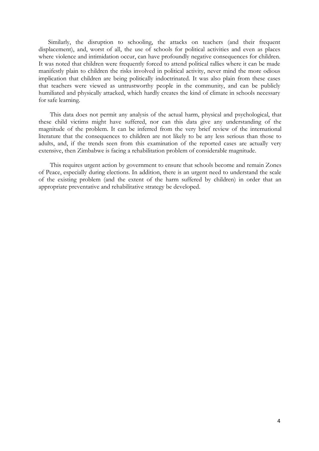Similarly, the disruption to schooling, the attacks on teachers (and their frequent displacement), and, worst of all, the use of schools for political activities and even as places where violence and intimidation occur, can have profoundly negative consequences for children. It was noted that children were frequently forced to attend political rallies where it can be made manifestly plain to children the risks involved in political activity, never mind the more odious implication that children are being politically indoctrinated. It was also plain from these cases that teachers were viewed as untrustworthy people in the community, and can be publicly humiliated and physically attacked, which hardly creates the kind of climate in schools necessary for safe learning.

This data does not permit any analysis of the actual harm, physical and psychological, that these child victims might have suffered, nor can this data give any understanding of the magnitude of the problem. It can be inferred from the very brief review of the international literature that the consequences to children are not likely to be any less serious than those to adults, and, if the trends seen from this examination of the reported cases are actually very extensive, then Zimbabwe is facing a rehabilitation problem of considerable magnitude.

This requires urgent action by government to ensure that schools become and remain Zones of Peace, especially during elections. In addition, there is an urgent need to understand the scale of the existing problem (and the extent of the harm suffered by children) in order that an appropriate preventative and rehabilitative strategy be developed.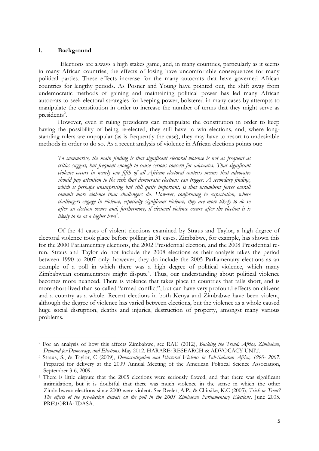#### **1. Background**

1

Elections are always a high stakes game, and, in many countries, particularly as it seems in many African countries, the effects of losing have uncomfortable consequences for many political parties. These effects increase for the many autocrats that have governed African countries for lengthy periods. As Posner and Young have pointed out, the shift away from undemocratic methods of gaining and maintaining political power has led many African autocrats to seek electoral strategies for keeping power, bolstered in many cases by attempts to manipulate the constitution in order to increase the number of terms that they might serve as presidents<sup>2</sup>.

However, even if ruling presidents can manipulate the constitution in order to keep having the possibility of being re-elected, they still have to win elections, and, where longstanding rulers are unpopular (as is frequently the case), they may have to resort to undesirable methods in order to do so. As a recent analysis of violence in African elections points out:

*To summarise, the main finding is that significant electoral violence is not as frequent as critics suggest, but frequent enough to cause serious concern for advocates. That significant violence occurs in nearly one fifth of all African electoral contests means that advocates should pay attention to the risk that democratic elections can trigger. A secondary finding, which is perhaps unsurprising but still quite important, is that incumbent forces overall commit more violence than challengers do. However, conforming to expectation, where challengers engage in violence, especially significant violence, they are more likely to do so after an election occurs and, furthermore, if electoral violence occurs after the election it is likely to be at a higher level<sup>3</sup> .* 

Of the 41 cases of violent elections examined by Straus and Taylor, a high degree of electoral violence took place before polling in 31 cases. Zimbabwe, for example, has shown this for the 2000 Parliamentary elections, the 2002 Presidential election, and the 2008 Presidential rerun. Straus and Taylor do not include the 2008 elections as their analysis takes the period between 1990 to 2007 only; however, they do include the 2005 Parliamentary elections as an example of a poll in which there was a high degree of political violence, which many Zimbabwean commentators might dispute<sup>4</sup>. Thus, our understanding about political violence becomes more nuanced. There is violence that takes place in countries that falls short, and is more short-lived than so-called "armed conflict", but can have very profound effects on citizens and a country as a whole. Recent elections in both Kenya and Zimbabwe have been violent, although the degree of violence has varied between elections, but the violence as a whole caused huge social disruption, deaths and injuries, destruction of property, amongst many various problems.

<sup>2</sup> For an analysis of how this affects Zimbabwe, see RAU (2012), *Bucking the Trend: Africa, Zimbabwe, Demand for Democracy, and Elections*. May 2012. HARARE: RESEARCH & ADVOCACY UNIT.

<sup>3</sup> Straus, S., & Taylor, C (2009), *Democratization and Electoral Violence in Sub-Saharan Africa, 1990- 2007*. Prepared for delivery at the 2009 Annual Meeting of the American Political Science Association, September 3-6, 2009.

<sup>4</sup> There is little dispute that the 2005 elections were seriously flawed, and that there was significant intimidation, but it is doubtful that there was much violence in the sense in which the other Zimbabwean elections since 2000 were violent. See Reeler, A.P., & Chitsike, K.C (2005), *Trick or Treat? The effects of the pre-election climate on the poll in the 2005 Zimbabwe Parliamentary Elections*. June 2005. PRETORIA: IDASA.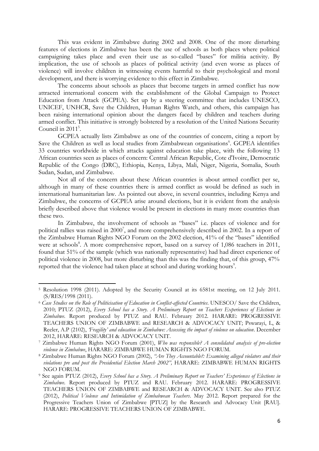This was evident in Zimbabwe during 2002 and 2008. One of the more disturbing features of elections in Zimbabwe has been the use of schools as both places where political campaigning takes place and even their use as so-called "bases" for militia activity. By implication, the use of schools as places of political activity (and even worse as places of violence) will involve children in witnessing events harmful to their psychological and moral development, and there is worrying evidence to this effect in Zimbabwe.

The concerns about schools as places that become targets in armed conflict has now attracted international concern with the establishment of the Global Campaign to Protect Education from Attack (GCPEA). Set up by a steering committee that includes UNESCO, UNICEF, UNHCR, Save the Children, Human Rights Watch, and others, this campaign has been raising international opinion about the dangers faced by children and teachers during armed conflict. This initiative is strongly bolstered by a resolution of the United Nations Security Council in  $2011<sup>5</sup>$ .

GCPEA actually lists Zimbabwe as one of the countries of concern, citing a report by Save the Children as well as local studies from Zimbabwean organisations<sup>6</sup>. GCPEA identifies 33 countries worldwide in which attacks against education take place, with the following 13 African countries seen as places of concern: Central African Republic, Cote d'Ivoire, Democratic Republic of the Congo (DRC), Ethiopia, Kenya, Libya, Mali, Niger, Nigeria, Somalia, South Sudan, Sudan, and Zimbabwe.

Not all of the concern about these African countries is about armed conflict per se, although in many of these countries there is armed conflict as would be defined as such in international humanitarian law. As pointed out above, in several countries, including Kenya and Zimbabwe, the concerns of GCPEA arise around elections, but it is evident from the analysis briefly described above that violence would be present in elections in many more countries than these two.

In Zimbabwe, the involvement of schools as "bases" i.e. places of violence and for political rallies was raised in 2000<sup>7</sup>, and more comprehensively described in 2002. In a report of the Zimbabwe Human Rights NGO Forum on the 2002 election, 41% of the "bases" identified were at schools<sup>8</sup>. A more comprehensive report, based on a survey of 1,086 teachers in 2011, found that 51% of the sample (which was nationally representative) had had direct experience of political violence in 2008, but more disturbing than this was the finding that, of this group, 47% reported that the violence had taken place at school and during working hours<sup>9</sup>.

**.** 

<sup>5</sup> Resolution 1998 (2011). Adopted by the Security Council at its 6581st meeting, on 12 July 2011. (S/RES/1998 (2011).

<sup>6</sup> *Case Studies on the Role of Politicisation of Education in Conflict-affected Countries*. UNESCO/ Save the Children, 2010; PTUZ (2012), *Every School has a Story. A Preliminary Report on Teachers Experiences of Elections in Zimbabwe*. Report produced by PTUZ and RAU. February 2012. HARARE: PROGRESSIVE TEACHERS UNION OF ZIMBABWE and RESEARCH & ADVOCACY UNIT; Pswarayi, L, & Reeler, A.P (2102), *Fragility' and education in Zimbabwe: Assessing the impact of violence on education*. December 2012, HARARE: RESEARCH & ADVOCACY UNIT.

<sup>7</sup> Zimbabwe Human Rights NGO Forum (2001), *Who was responsible? A consolidated analysis of pre-election violence in Zimbabwe*, HARARE: ZIMBABWE HUMAN RIGHTS NGO FORUM.

<sup>8</sup> Zimbabwe Human Rights NGO Forum (2002), *"Are They Accountable?: Examining alleged violators and their violations pre and post the Presidential Election March 2002",* HARARE: ZIMBABWE HUMAN RIGHTS NGO FORUM.

<sup>9</sup> See again PTUZ (2012), *Every School has a Story. A Preliminary Report on Teachers" Experiences of Elections in Zimbabwe*. Report produced by PTUZ and RAU. February 2012. HARARE: PROGRESSIVE TEACHERS UNION OF ZIMBABWE and RESEARCH & ADVOCACY UNIT. See also PTUZ (2012), *Political Violence and Intimidation of Zimbabwean Teachers*. May 2012. Report prepared for the Progressive Teachers Union of Zimbabwe [PTUZ] by the Research and Advocacy Unit [RAU]. HARARE: PROGRESSIVE TEACHERS UNION OF ZIMBABWE.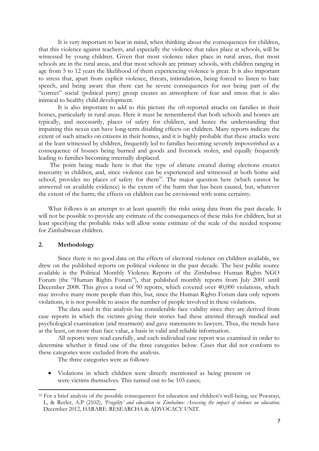It is very important to bear in mind, when thinking about the consequences for children, that this violence against teachers, and especially the violence that takes place at schools, will be witnessed by young children. Given that most violence takes place in rural areas, that most schools are in the rural areas, and that most schools are primary schools, with children ranging in age from 5 to 12 years the likelihood of them experiencing violence is great. It is also important to stress that, apart from explicit violence, threats, intimidation, being forced to listen to hate speech, and being aware that there can be severe consequences for not being part of the "correct" social (political party) group creates an atmosphere of fear and stress that is also inimical to healthy child development.

It is also important to add to this picture the oft-reported attacks on families in their homes, particularly in rural areas. Here it must be remembered that both schools and homes are typically, and necessarily, places of safety for children, and hence the understanding that impairing this nexus can have long-term disabling effects on children. Many reports indicate the extent of such attacks on citizens in their homes, and it is highly probable that these attacks were at the least witnessed by children, frequently led to families becoming severely impoverished as a consequence of houses being burned and goods and livestock stolen, and equally frequently leading to families becoming internally displaced.

The point being made here is that the type of climate created during elections creates insecurity in children, and, since violence can be experienced and witnessed at both home and school, provides no places of safety for the $m<sup>10</sup>$ . The major question here (which cannot be answered on available evidence) is the extent of the harm that has been caused, but, whatever the extent of the harm; the effects on children can be envisioned with some certainty.

What follows is an attempt to at least quantify the risks using data from the past decade. It will not be possible to provide any estimate of the consequences of these risks for children, but at least specifying the probable risks will allow some estimate of the scale of the needed response for Zimbabwean children.

# **2. Methodology**

 $\overline{\phantom{a}}$ 

Since there is no good data on the effects of electoral violence on children available, we drew on the published reports on political violence in the past decade. The best public source available is the Political Monthly Violence Reports of the Zimbabwe Human Rights NGO Forum (the "Human Rights Forum"), that published monthly reports from July 2001 until December 2008. This gives a total of 90 reports, which covered over 40,000 violations, which may involve many more people than this, but, since the Human Rights Forum data only reports violations, it is not possible to assess the number of people involved in these violations.

The data used in this analysis has considerable face validity since they are derived from case reports in which the victims giving their stories had these attested through medical and psychological examination (and treatment) and gave statements to lawyers. Thus, the trends have at the least, on more than face value, a basis in valid and reliable information.

All reports were read carefully, and each individual case report was examined in order to determine whether it fitted one of the three categories below. Cases that did not conform to these categories were excluded from the analysis.

The three categories were as follows:

 Violations in which children were directly mentioned as being present or were victims themselves. This turned out to be 103 cases;

<sup>10</sup> For a brief analysis of the possible consequences for education and children's well-being, see Pswarayi, L, & Reeler, A.P (2102), *"Fragility" and education in Zimbabwe: Assessing the impact of violence on education*. December 2012, HARARE: RESEARCHA & ADVOCACY UNIT.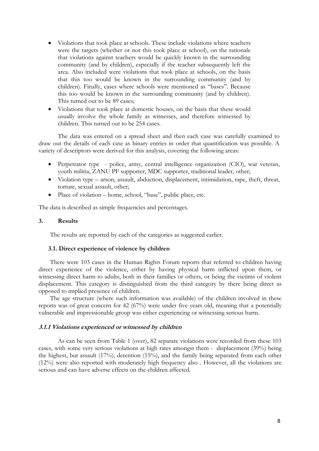- Violations that took place at schools. These include violations where teachers were the targets (whether or not this took place at school), on the rationale that violations against teachers would be quickly known in the surrounding community (and by children), especially if the teacher subsequently left the area. Also included were violations that took place at schools, on the basis that this too would be known in the surrounding community (and by children). Finally, cases where schools were mentioned as "bases". Because this too would be known in the surrounding community (and by children). This turned out to be 89 cases;
- Violations that took place at domestic houses, on the basis that these would usually involve the whole family as witnesses, and therefore witnessed by children. This turned out to be 254 cases.

The data was entered on a spread sheet and then each case was carefully examined to draw out the details of each case as binary entries in order that quantification was possible. A variety of descriptors were derived for this analysis, covering the following areas:

- Perpetrator type police, army, central intelligence organization (CIO), war veteran, youth militia, ZANU PF supporter, MDC supporter, traditional leader, other;
- Violation type arson, assault, abduction, displacement, intimidation, rape, theft, threat, torture, sexual assault, other;
- Place of violation home, school, "base", public place, etc.

The data is described as simple frequencies and percentages.

#### **3. Results**

The results are reported by each of the categories as suggested earlier.

#### **3.1. Direct experience of violence by children**

There were 103 cases in the Human Rights Forum reports that referred to children having direct experience of the violence, either by having physical harm inflicted upon them, or witnessing direct harm to adults, both in their families or others, or being the victims of violent displacement. This category is distinguished from the third category by there being direct as opposed to implied presence of children.

The age structure (where such information was available) of the children involved in these reports was of great concern for 42 (67%) were under five years old, meaning that a potentially vulnerable and impressionable group was either experiencing or witnessing serious harm.

#### **3.1.1 Violations experienced or witnessed by children**

As can be seen from Table 1 (over), 82 separate violations were recorded from these 103 cases, with some very serious violations at high rates amongst them - displacement (39%) being the highest, but assault (17%), detention (15%), and the family being separated from each other (12%) were also reported with moderately high frequency also . However, all the violations are serious and can have adverse effects on the children affected.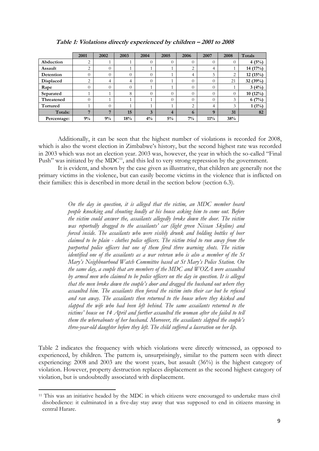|             | 2001           | 2002         | 2003     | 2004  | 2005     | 2006         | 2007        | 2008     | Totals     |
|-------------|----------------|--------------|----------|-------|----------|--------------|-------------|----------|------------|
| Abduction   | $\overline{2}$ |              |          |       | $\Omega$ |              |             | 0        | 4(5%)      |
| Assault     | っ<br>∠         |              |          |       |          | ◠            | 4           |          | 14 $(17%)$ |
| Detention   | $\Omega$       | $\Omega$     | 0        |       |          | 4            | 5           | 2        | 12(15%)    |
| Displaced   | っ<br>∠         | 4            | 4        |       |          | 0            |             | 21       | 32 (39%)   |
| Rape        | $\Omega$       |              | $\theta$ |       |          | $\bigcap$    | 0           |          | 3(4%)      |
| Separated   |                |              | 8        |       | $\Omega$ | $\theta$     | $\Omega$    | $\theta$ | $10(12\%)$ |
| Threatened  | $\Omega$       |              |          |       | $\theta$ | $\bigcap$    |             | 3        | 6 $(7%)$   |
| Tortured    |                |              |          |       |          | ◠            | 4           | 3        | $1(1\%)$   |
| Totals:     | $\overline{ }$ | $\mathbf{r}$ | 15       | 3     | 4        | $\mathbf{a}$ | $\mathbf Q$ | 31       | 82         |
| Percentage: | 9%             | 9%           | 18%      | $4\%$ | $5\%$    | $7\%$        | $11\%$      | 38%      |            |

**Table 1: Violations directly experienced by children – 2001 to 2008**

Additionally, it can be seen that the highest number of violations is recorded for 2008, which is also the worst election in Zimbabwe's history, but the second highest rate was recorded in 2003 which was not an election year. 2003 was, however, the year in which the so-called "Final Push" was initiated by the  $MDC^{11}$ , and this led to very strong repression by the government.

It is evident, and shown by the case given as illustrative, that children are generally not the primary victims in the violence, but can easily become victims in the violence that is inflicted on their families: this is described in more detail in the section below (section 6.3).

> *On the day in question, it is alleged that the victim, an MDC member heard people knocking and shouting loudly at his house asking him to come out. Before the victim could answer the, assailants allegedly broke down the door. The victim was reportedly dragged to the assailants" car (light green Nissan Skyline) and forced inside. The assailants who were visibly drunk and holding bottles of beer claimed to be plain - clothes police officers. The victim tried to run away from the purported police officers but one of them fired three warning shots. The victim identified one of the assailants as a war veteran who is also a member of the St Mary"s Neighbourhood Watch Committee based at St Mary"s Police Station. On the same day, a couple that are members of the MDC and WOZA were assaulted by armed men who claimed to be police officers on the day in question. It is alleged that the men broke down the couple"s door and dragged the husband out where they assaulted him. The assailants then forced the victim into their car but he refused and ran away. The assailants then returned to the house where they kicked and slapped the wife who had been left behind. The same assailants returned to the victims" house on 14 April and further assaulted the woman after she failed to tell them the whereabouts of her husband. Moreover, the assailants slapped the couple"s three-year-old daughter before they left. The child suffered a laceration on her lip.*

Table 2 indicates the frequency with which violations were directly witnessed, as opposed to experienced, by children. The pattern is, unsurprisingly, similar to the pattern seen with direct experiencing: 2008 and 2003 are the worst years, but assault (36%) is the highest category of violation. However, property destruction replaces displacement as the second highest category of violation, but is undoubtedly associated with displacement.

 $\overline{\phantom{a}}$ <sup>11</sup> This was an initiative headed by the MDC in which citizens were encouraged to undertake mass civil disobedience: it culminated in a five-day stay away that was supposed to end in citizens massing in central Harare.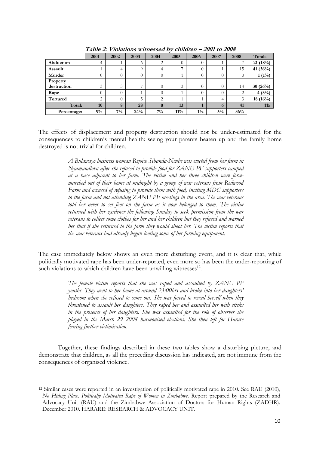|             | 2001          | 2002     | 2003     | 2004           | 2005   | 2006             | 2007           | 2008 | Totals      |
|-------------|---------------|----------|----------|----------------|--------|------------------|----------------|------|-------------|
| Abduction   | 4             |          |          | 2              |        | $\left( \right)$ |                |      | 21(18%)     |
| Assault     |               | 4        |          | 4              |        | $\theta$         |                | 15   | 41 $(36\%)$ |
| Murder      | $\theta$      | 0        | $\Omega$ | $\overline{0}$ |        | $\theta$         | $\overline{0}$ |      | $1(1\%)$    |
| Property    |               |          |          |                |        |                  |                |      |             |
| destruction | 3             | 3        | ⇁        | $\theta$       | 3      | $\Omega$         | $\overline{0}$ | 14   | 30 $(26\%)$ |
| Rape        | $\Omega$      | $\Omega$ |          | $\theta$       |        | $\Omega$         | $\overline{0}$ |      | 4(3%)       |
| Tortured    | $\Omega$<br>∠ |          |          | 2              |        |                  | 4              |      | 18 $(16%)$  |
| Total:      | 10            | 8        | 28       | 8              | 13     |                  | 6              | 41   | 115         |
| Percentage: | 9%            | $7\%$    | 24%      | $7\%$          | $11\%$ | $1\%$            | $5\%$          | 36%  |             |

**Table 2: Violations witnessed by children – 2001 to 2008**

The effects of displacement and property destruction should not be under-estimated for the consequences to children's mental health: seeing your parents beaten up and the family home destroyed is not trivial for children.

> *A Bulawayo business woman Rejoice Sibanda-Ncube was evicted from her farm in Nyamandlovu after she refused to provide food for ZANU PF supporters camped at a base adjacent to her farm. The victim and her three children were forcemarched out of their home at midnight by a group of war veterans from Redwood Farm and accused of refusing to provide them with food, inviting MDC supporters to the farm and not attending ZANU PF meetings in the area. The war veterans*  told her never to set foot on the farm as it now belonged to them. The victim *returned with her gardener the following Sunday to seek permission from the war veterans to collect some clothes for her and her children but they refused and warned her that if she returned to the farm they would shoot her. The victim reports that the war veterans had already begun looting some of her farming equipment.*

The case immediately below shows an even more disturbing event, and it is clear that, while politically motivated rape has been under-reported, even more so has been the under-reporting of such violations to which children have been unwilling witnesses $12$ .

> *The female victim reports that she was raped and assaulted by ZANU PF youths. They went to her home at around 23:00hrs and broke into her daughters" bedroom when she refused to come out. She was forced to reveal herself when they threatened to assault her daughters. They raped her and assaulted her with sticks in the presence of her daughters. She was assaulted for the role of observer she played in the March 29 2008 harmonised elections. She then left for Harare fearing further victimisation.*

Together, these findings described in these two tables show a disturbing picture, and demonstrate that children, as all the preceding discussion has indicated, are not immune from the consequences of organised violence.

1

<sup>12</sup> Similar cases were reported in an investigation of politically motivated rape in 2010. See RAU (2010), *No Hiding Place. Politically Motivated Rape of Women in Zimbabwe*. Report prepared by the Research and Advocacy Unit (RAU) and the Zimbabwe Association of Doctors for Human Rights (ZADHR). December 2010. HARARE: RESEARCH & ADVOCACY UNIT.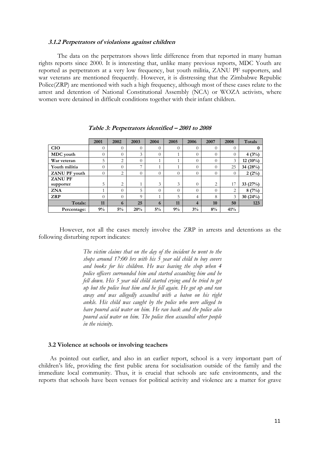#### **3.1.2 Perpetrators of violations against children**

The data on the perpetrators shows little difference from that reported in many human rights reports since 2000. It is interesting that, unlike many previous reports, MDC Youth are reported as perpetrators at a very low frequency, but youth militia, ZANU PF supporters, and war veterans are mentioned frequently. However, it is distressing that the Zimbabwe Republic Police(ZRP) are mentioned with such a high frequency, although most of these cases relate to the arrest and detention of National Constitutional Assembly (NCA) or WOZA activists, where women were detained in difficult conditions together with their infant children.

|                      | 2001     | 2002           | 2003           | 2004     | 2005     | 2006                    | 2007           | 2008     | Totals      |
|----------------------|----------|----------------|----------------|----------|----------|-------------------------|----------------|----------|-------------|
| <b>CIO</b>           |          | 0              | 0              | $\theta$ | $\theta$ | $\theta$                | $\Omega$       | 0        | 0           |
| MDC youth            |          | $\overline{0}$ | 3              | $\theta$ |          | $\overline{0}$          | $\theta$       | 0        | 4(3%)       |
| War veteran          | 5        | 2              | 0              |          |          | $\overline{0}$          | $\theta$       | 3        | 12 $(10\%)$ |
| Youth militia        | 0        | $\overline{0}$ | $\overline{ }$ |          |          | $\overline{0}$          | $\theta$       | 25       | 34 (28%)    |
| <b>ZANU PF</b> youth | $\Omega$ | 2              | $\overline{0}$ | $\theta$ | $\theta$ | $\overline{0}$          | $\Omega$       | $\Omega$ | $2(2\%)$    |
| <b>ZANUPF</b>        |          |                |                |          |          |                         |                |          |             |
| supporter            | 5        | $\overline{2}$ | $\overline{A}$ | 3        | 3        | $\overline{0}$          | $\overline{2}$ | 17       | 33 $(27%)$  |
| <b>ZNA</b>           |          | $\overline{0}$ | 5              | $\theta$ | $\theta$ | $\overline{0}$          | $\bigcirc$     | 2        | 8(7%)       |
| <b>ZRP</b>           |          | $\overline{0}$ | 9              |          | 5        | 4                       | 8              | 3        | 30 $(24%)$  |
| Totals:              | 11       | 6              | 25             | 6        | 11       | $\overline{\mathbf{4}}$ | 10             | 50       | 123         |
| Percentage:          | 9%       | $5\%$          | 20%            | $5\%$    | 9%       | 3%                      | 8%             | 41%      |             |

**Table 3: Perpetrators identified – 2001 to 2008**

However, not all the cases merely involve the ZRP in arrests and detentions as the following disturbing report indicates:

> *The victim claims that on the day of the incident he went to the shops around 17:00 hrs with his 5 year old child to buy covers and books for his children. He was leaving the shop when 4 police officers surrounded him and started assaulting him and he fell down. His 5 year old child started crying and he tried to get up but the police beat him and he fell again. He got up and ran away and was allegedly assaulted with a baton on his right ankle. His child was caught by the police who were alleged to have poured acid water on him. He ran back and the police also poured acid water on him. The police then assaulted other people in the vicinity.*

#### **3.2 Violence at schools or involving teachers**

As pointed out earlier, and also in an earlier report, school is a very important part of children's life, providing the first public arena for socialisation outside of the family and the immediate local community. Thus, it is crucial that schools are safe environments, and the reports that schools have been venues for political activity and violence are a matter for grave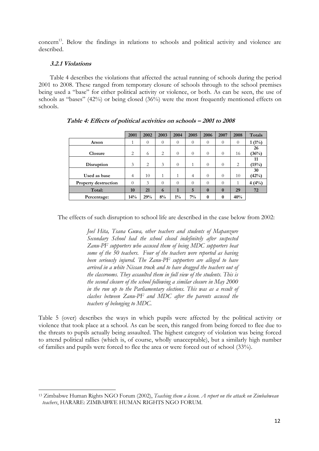$concern<sup>13</sup>$ . Below the findings in relations to schools and political activity and violence are described.

### **3.2.1 Violations**

**.** 

Table 4 describes the violations that affected the actual running of schools during the period 2001 to 2008. These ranged from temporary closure of schools through to the school premises being used a "base" for either political activity or violence, or both. As can be seen, the use of schools as "bases" (42%) or being closed (36%) were the most frequently mentioned effects on schools.

|                             | 2001     | 2002           | 2003     | 2004           | 2005           | 2006     | 2007         | 2008     | Totals      |
|-----------------------------|----------|----------------|----------|----------------|----------------|----------|--------------|----------|-------------|
| Arson                       | Ŧ.       | $\theta$       | $\Omega$ | 0              | $\theta$       | $\theta$ | 0            | $\theta$ | $1(1\%)$    |
| Closure                     | 2        | 6              | 2        | $\overline{0}$ | $\overline{0}$ | $\theta$ | 0            | 16       | 26<br>(36%) |
| Disruption                  | 3        | $\overline{2}$ | 3        | $\theta$       |                | $\theta$ | $\theta$     | 2        | 11<br>(15%) |
| Used as base                | 4        | 10             | 1        |                | $\overline{4}$ | $\theta$ | 0            | 10       | 30<br>(42%) |
| <b>Property destruction</b> | $\theta$ | 3              | $\theta$ | $\theta$       | $\overline{0}$ | $\theta$ | 0            | 1        | 4(4%)       |
| Total:                      | 10       | 21             | 6        | 1              | 5              | $\bf{0}$ | $\mathbf{0}$ | 29       | 72          |
| Percentage:                 | 14%      | 29%            | 8%       | $1\%$          | $7\%$          | $\bf{0}$ | $\mathbf{0}$ | 40%      |             |

**Table 4: Effects of political activities on schools – 2001 to 2008**

The effects of such disruption to school life are described in the case below from 2002:

*Joel Hita, Tsana Guwa, other teachers and students of Mapanzure Secondary School had the school closed indefinitely after suspected Zanu-PF supporters who accused them of being MDC supporters beat some of the 50 teachers. Four of the teachers were reported as having been seriously injured. The Zanu-PF supporters are alleged to have arrived in a white Nissan truck and to have dragged the teachers out of the classrooms. They assaulted them in full view of the students. This is the second closure of the school following a similar closure in May 2000 in the run up to the Parliamentary elections. This was as a result of clashes between Zanu-PF and MDC after the parents accused the teachers of belonging to MDC.*

Table 5 (over) describes the ways in which pupils were affected by the political activity or violence that took place at a school. As can be seen, this ranged from being forced to flee due to the threats to pupils actually being assaulted. The highest category of violation was being forced to attend political rallies (which is, of course, wholly unacceptable), but a similarly high number of families and pupils were forced to flee the area or were forced out of school (33%).

<sup>13</sup> Zimbabwe Human Rights NGO Forum (2002), *Teaching them a lesson. A report on the attack on Zimbabwean teachers*, HARARE: ZIMBABWE HUMAN RIGHTS NGO FORUM.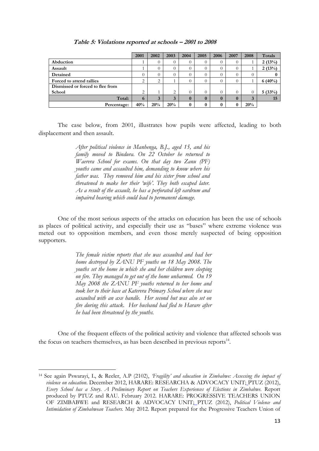|                                  | 2001           | 2002 | 2003     | 2004     | 2005     | 2006     | 2007 | 2008 | Totals     |
|----------------------------------|----------------|------|----------|----------|----------|----------|------|------|------------|
| Abduction                        |                |      | 0        |          | $\theta$ |          |      |      | 2(13%)     |
| Assault                          |                |      |          |          | $\theta$ |          |      |      | 2(13%)     |
| Detained                         | $\theta$       |      | $\Omega$ |          | $\theta$ |          |      |      |            |
| Forced to attend rallies         | $\overline{2}$ | ◠    |          |          | $\theta$ |          |      |      | 6 $(40\%)$ |
| Dismissed or forced to flee from |                |      |          |          |          |          |      |      |            |
| School                           | 2              |      | ◠        |          | $\Omega$ | $\Omega$ |      |      | 5(33%)     |
| Total:                           | 6              | .5   | 3        | $\bf{0}$ | $\bf{0}$ | $\bf{0}$ |      | 3    | 15         |
| Percentage:                      | 40%            | 20%  | 20%      | $\bf{0}$ | $\theta$ | $\bf{0}$ |      | 20%  |            |

#### **Table 5: Violations reported at schools – 2001 to 2008**

The case below, from 2001, illustrates how pupils were affected, leading to both displacement and then assault.

> *After political violence in Manhenga, B.J., aged 15, and his family moved to Bindura. On 22 October he returned to Waerera School for exams. On that day two Zanu (PF) youths came and assaulted him, demanding to know where his father was. They removed him and his sister from school and threatened to make her their "wife". They both escaped later. As a result of the assault, he has a perforated left eardrum and impaired hearing which could lead to permanent damage.*

One of the most serious aspects of the attacks on education has been the use of schools as places of political activity, and especially their use as "bases" where extreme violence was meted out to opposition members, and even those merely suspected of being opposition supporters.

> *The female victim reports that she was assaulted and had her home destroyed by ZANU PF youths on 18 May 2008. The youths set the home in which she and her children were sleeping on fire. They managed to get out of the home unharmed. On 19 May 2008 the ZANU PF youths returned to her home and took her to their base at Katerera Primary School where she was assaulted with an axe handle. Her second hut was also set on fire during this attack. Her husband had fled to Harare after he had been threatened by the youths.*

1

One of the frequent effects of the political activity and violence that affected schools was the focus on teachers themselves, as has been described in previous reports<sup>14</sup>.

<sup>14</sup> See again Pswarayi, L, & Reeler, A.P (2102), *"Fragility" and education in Zimbabwe: Assessing the impact of violence on education*. December 2012, HARARE: RESEARCHA & ADVOCACY UNIT; PTUZ (2012), *Every School has a Story. A Preliminary Report on Teachers Experiences of Elections in Zimbabwe.* Report produced by PTUZ and RAU. February 2012. HARARE: PROGRESSIVE TEACHERS UNION OF ZIMBABWE and RESEARCH & ADVOCACY UNIT; PTUZ (2012), *Political Violence and Intimidation of Zimbabwean Teachers.* May 2012. Report prepared for the Progressive Teachers Union of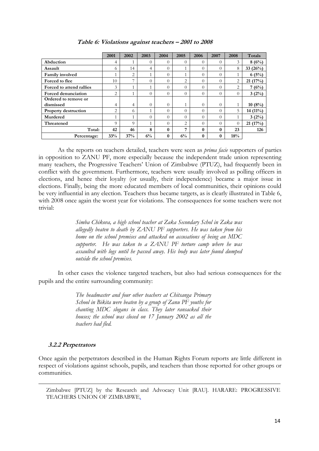|                             | 2001           | 2002           | 2003           | 2004           | 2005           | 2006     | 2007     | 2008           | Totals      |
|-----------------------------|----------------|----------------|----------------|----------------|----------------|----------|----------|----------------|-------------|
| Abduction                   | 4              |                | $\theta$       | $\Omega$       | $\Omega$       | $\theta$ | $\Omega$ | 3              | 8(6%)       |
| Assault                     | 6              | 14             | $\overline{4}$ | $\theta$       |                | $\theta$ | 0        | 8              | 33 $(26%)$  |
| <b>Family involved</b>      | и              | 2              | -1             | $\theta$       |                | $\theta$ | $\theta$ |                | 6(5%)       |
| Forced to flee              | 10             | $\overline{7}$ | $\theta$       | $\Omega$       | 2              | $\theta$ | $\Omega$ | $\overline{2}$ | 21(17%)     |
| Forced to attend rallies    | 3              |                | $\overline{A}$ | $\theta$       | $\Omega$       | $\theta$ | 0        | $\overline{2}$ | 7(6%)       |
| Forced denunciation         | 2              |                | $\theta$       | $\theta$       | $\Omega$       | $\theta$ | 0        | $\Omega$       | $3(2\%)$    |
| Ordered to remove or        |                |                |                |                |                |          |          |                |             |
| dismissed                   | 4              | 4              | $\overline{0}$ | $\overline{0}$ |                | $\theta$ | $\Omega$ | и              | 10(8%)      |
| <b>Property destruction</b> | $\overline{2}$ | 6              | -1             | $\Omega$       | $\Omega$       | $\theta$ | 0        | 5              | 14 $(11\%)$ |
| Murdered                    | 4              |                | $\theta$       | $\theta$       | $\Omega$       | $\theta$ | $\theta$ |                | $3(2\%)$    |
| Threatened                  | $\Omega$       | $\Omega$       | $\overline{A}$ | $\Omega$       | $\overline{2}$ | $\theta$ | 0        | $\Omega$       | 21(17%)     |
| Total:                      | 42             | 46             | 8              | $\bf{0}$       | 7              | $\bf{0}$ | $\bf{0}$ | 23             | 126         |
| Percentage:                 | 33%            | 37%            | 6%             | $\mathbf{0}$   | 6%             | $\bf{0}$ | 0        | 18%            |             |

#### **Table 6: Violations against teachers – 2001 to 2008**

As the reports on teachers detailed, teachers were seen as *prima facie* supporters of parties in opposition to ZANU PF, more especially because the independent trade union representing many teachers, the Progressive Teachers' Union of Zimbabwe (PTUZ), had frequently been in conflict with the government. Furthermore, teachers were usually involved as polling officers in elections, and hence their loyalty (or usually, their independence) became a major issue in elections. Finally, being the more educated members of local communities, their opinions could be very influential in any election. Teachers thus became targets, as is clearly illustrated in Table 6, with 2008 once again the worst year for violations. The consequences for some teachers were not trivial:

> *Simba Chikova, a high school teacher at Zaka Secondary Schol in Zaka was allegedly beaten to death by ZANU PF supporters. He was taken from his home on the school premises and attacked on accusations of being an MDC supporter. He was taken to a ZANU PF torture camp where he was assaulted with logs until he passed away. His body was later found dumped outside the school premises.*

In other cases the violence targeted teachers, but also had serious consequences for the pupils and the entire surrounding community:

> *The headmaster and four other teachers at Chitsanga Primary School in Bikita were beaten by a group of Zanu PF youths for chanting MDC slogans in class. They later ransacked their houses; the school was closed on 17 January 2002 as all the teachers had fled.*

#### **3.2.2 Perpetrators**

**.** 

Once again the perpetrators described in the Human Rights Forum reports are little different in respect of violations against schools, pupils, and teachers than those reported for other groups or communities.

Zimbabwe [PTUZ] by the Research and Advocacy Unit [RAU]. HARARE: PROGRESSIVE TEACHERS UNION OF ZIMBABWE.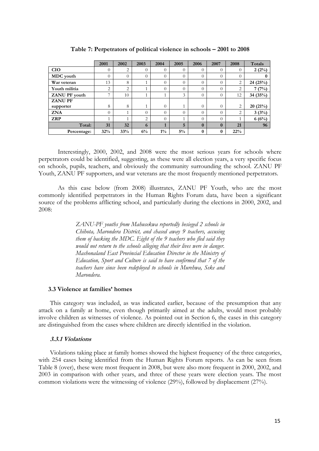|                      | 2001           | 2002           | 2003           | 2004      | 2005     | 2006           | 2007           | 2008           | Totals     |
|----------------------|----------------|----------------|----------------|-----------|----------|----------------|----------------|----------------|------------|
| <b>CIO</b>           | $\theta$       | 2              | $\theta$       | $\Omega$  | $\Omega$ | $\theta$       | $\Omega$       | $\bigcirc$     | 2(2%)      |
| <b>MDC</b> youth     | $\overline{0}$ | $\overline{0}$ |                | $\Omega$  | $\theta$ | $\overline{0}$ | $\Omega$       |                |            |
| War veteran          | 13             | 8              |                | $\bigcap$ | $\Omega$ | $\overline{0}$ | $\theta$       | 2              | 24(25%)    |
| Youth militia        | 2              | 2              |                | $\Omega$  | $\Omega$ | $\overline{0}$ | $\theta$       | $\overline{2}$ | 7(7%)      |
| <b>ZANU PF youth</b> | $\overline{7}$ | 10             |                |           | 3        | $\overline{0}$ | $\theta$       | 12             | 34 $(35%)$ |
| <b>ZANUPF</b>        |                |                |                |           |          |                |                |                |            |
| supporter            | 8              | 8              |                | $\Omega$  |          | $\overline{0}$ | $\overline{0}$ | 2              | 20(21%)    |
| <b>ZNA</b>           | $\overline{0}$ |                | $\theta$       | $\bigcap$ | $\theta$ | $\theta$       | $\Omega$       | $\overline{2}$ | 3(3%)      |
| <b>ZRP</b>           |                |                | $\overline{2}$ | $\Omega$  |          | $\theta$       | $\Omega$       |                | 6(6%)      |
| Total:               | 31             | 32             | 6              | и         | 5        | $\mathbf{0}$   | $\mathbf{0}$   | 21             | 96         |
| Percentage:          | 32%            | 33%            | 6%             | $1\%$     | $5\%$    | $\bf{0}$       | $\bf{0}$       | 22%            |            |

**Table 7: Perpetrators of political violence in schools – 2001 to 2008**

Interestingly, 2000, 2002, and 2008 were the most serious years for schools where perpetrators could be identified, suggesting, as these were all election years, a very specific focus on schools, pupils, teachers, and obviously the community surrounding the school. ZANU PF Youth, ZANU PF supporters, and war veterans are the most frequently mentioned perpetrators.

As this case below (from 2008) illustrates, ZANU PF Youth, who are the most commonly identified perpetrators in the Human Rights Forum data, have been a significant source of the problems afflicting school, and particularly during the elections in 2000, 2002, and 2008:

> *ZANU-PF youths from Mahusekwa reportedly besieged 2 schools in Chihota, Marondera District, and chased away 9 teachers, accusing them of backing the MDC. Eight of the 9 teachers who fled said they would not return to the schools alleging that their lives were in danger. Mashonaland East Provincial Education Director in the Ministry of Education, Sport and Culture is said to have confirmed that 7 of the teachers have since been redeployed to schools in Murehwa, Seke and Marondera.*

#### **3.3 Violence at families' homes**

This category was included, as was indicated earlier, because of the presumption that any attack on a family at home, even though primarily aimed at the adults, would most probably involve children as witnesses of violence. As pointed out in Section 6, the cases in this category are distinguished from the cases where children are directly identified in the violation.

#### **3.3.1 Violations**

Violations taking place at family homes showed the highest frequency of the three categories, with 254 cases being identified from the Human Rights Forum reports. As can be seen from Table 8 (over), these were most frequent in 2008, but were also more frequent in 2000, 2002, and 2003 in comparison with other years, and three of these years were election years. The most common violations were the witnessing of violence (29%), followed by displacement (27%).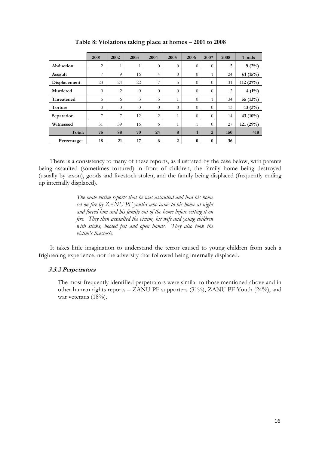|              | 2001           | 2002           | 2003           | 2004           | 2005           | 2006           | 2007           | 2008 | Totals      |
|--------------|----------------|----------------|----------------|----------------|----------------|----------------|----------------|------|-------------|
| Abduction    | 2              | $\overline{ }$ | 1              | $\theta$       | $\overline{0}$ | $\theta$       | $\theta$       | 5    | $9(2\%)$    |
| Assault      | $\overline{7}$ | 9              | 16             | 4              | $\overline{0}$ | $\overline{0}$ | $\mathbf{1}$   | 24   | 61(15%)     |
| Displacement | 23             | 24             | 22             | $\overline{7}$ | 5              | $\theta$       | $\Omega$       | 31   | 112 $(27%)$ |
| Murdered     | $\overline{0}$ | 2              | $\Omega$       | $\theta$       | $\overline{0}$ | $\theta$       | $\theta$       | 2    | 4 $(1%)$    |
| Threatened   | 5              | 6              | 3              | 5              | 1              | $\theta$       | $\mathbf{1}$   | 34   | 55 $(13%)$  |
| Torture      | $\overline{0}$ | $\overline{0}$ | $\overline{0}$ | $\theta$       | $\overline{0}$ | $\theta$       | $\Omega$       | 13   | 13(3%)      |
| Separation   | $\overline{7}$ | $\overline{7}$ | 12             | $\overline{2}$ | 1              | $\theta$       | $\Omega$       | 14   | 43 $(10\%)$ |
| Witnessed    | 31             | 39             | 16             | 6              | 1              |                | $\theta$       | 27   | 121 (29%)   |
| Total:       | 75             | 88             | 70             | 24             | 8              | 1              | $\overline{2}$ | 150  | 418         |
| Percentage:  | 18             | 21             | 17             | 6              | 2              | $\bf{0}$       | $\bf{0}$       | 36   |             |

**Table 8: Violations taking place at homes – 2001 to 2008**

There is a consistency to many of these reports, as illustrated by the case below, with parents being assaulted (sometimes tortured) in front of children, the family home being destroyed (usually by arson), goods and livestock stolen, and the family being displaced (frequently ending up internally displaced).

> *The male victim reports that he was assaulted and had his home set on fire by ZANU PF youths who came to his home at night and forced him and his family out of the home before setting it on fire. They then assaulted the victim, his wife and young children*  with sticks, booted feet and open hands. They also took the *victim"s livestock.*

It takes little imagination to understand the terror caused to young children from such a frightening experience, nor the adversity that followed being internally displaced.

#### **3.3.2 Perpetrators**

The most frequently identified perpetrators were similar to those mentioned above and in other human rights reports – ZANU PF supporters (31%), ZANU PF Youth (24%), and war veterans (18%).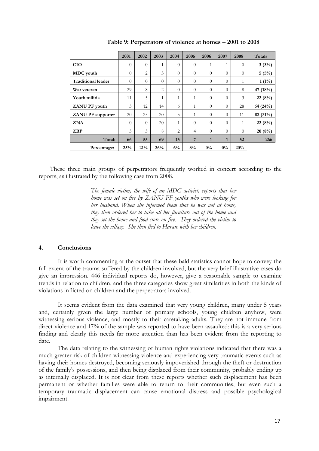|                          | 2001     | 2002           | 2003     | 2004         | 2005           | 2006         | 2007           | 2008           | Totals     |
|--------------------------|----------|----------------|----------|--------------|----------------|--------------|----------------|----------------|------------|
| <b>CIO</b>               | $\Omega$ | $\theta$       | 1        | $\Omega$     | $\Omega$       | 1            | 1              | $\Omega$       | 3(3%)      |
| <b>MDC</b> youth         | $\Omega$ | 2              | 3        | $\theta$     | $\Omega$       | $\Omega$     | $\overline{0}$ | $\theta$       | 5(5%)      |
| Traditional leader       | $\Omega$ | $\overline{0}$ | $\Omega$ | $\theta$     | $\Omega$       | $\Omega$     | $\Omega$       | $\mathbf{1}$   | $1(1\%)$   |
| War veteran              | 29       | 8              | 2        | $\theta$     | $\Omega$       | $\Omega$     | $\Omega$       | 8              | 47 (18%)   |
| Youth militia            | 11       | 5              | 1        | 1            | 1              | $\Omega$     | $\Omega$       | 3              | 22(8%)     |
| <b>ZANU PF youth</b>     | 3        | 12             | 14       | 6            | 1              | $\Omega$     | $\Omega$       | 28             | 64 $(24%)$ |
| <b>ZANU PF</b> supporter | 20       | 25             | 20       | 5            | 1              | $\Omega$     | $\overline{0}$ | 11             | 82 (31%)   |
| <b>ZNA</b>               | $\Omega$ | $\overline{0}$ | 20       | $\mathbf{1}$ | $\Omega$       | $\Omega$     | $\overline{0}$ | $\mathbf{1}$   | 22(8%)     |
| ZRP                      | 3        | 3              | 8        | 2            | $\overline{4}$ | $\theta$     | $\overline{0}$ | $\overline{0}$ | 20(8%)     |
| Total:                   | 66       | 55             | 69       | 15           | 7              | $\mathbf{1}$ | $\mathbf{1}$   | 52             | 266        |
| Percentage:              | 25%      | 21%            | 26%      | 6%           | $3\%$          | $0\%$        | $0\%$          | 20%            |            |

**Table 9: Perpetrators of violence at homes – 2001 to 2008**

These three main groups of perpetrators frequently worked in concert according to the reports, as illustrated by the following case from 2008.

> *The female victim, the wife of an MDC activist, reports that her home was set on fire by ZANU PF youths who were looking for her husband. When she informed them that he was not at home, they then ordered her to take all her furniture out of the home and they set the home and food store on fire. They ordered the victim to leave the village. She then fled to Harare with her children.*

#### **4. Conclusions**

It is worth commenting at the outset that these bald statistics cannot hope to convey the full extent of the trauma suffered by the children involved, but the very brief illustrative cases do give an impression. 446 individual reports do, however, give a reasonable sample to examine trends in relation to children, and the three categories show great similarities in both the kinds of violations inflicted on children and the perpetrators involved.

It seems evident from the data examined that very young children, many under 5 years and, certainly given the large number of primary schools, young children anyhow, were witnessing serious violence, and mostly to their caretaking adults. They are not immune from direct violence and 17% of the sample was reported to have been assaulted: this is a very serious finding and clearly this needs far more attention than has been evident from the reporting to date.

The data relating to the witnessing of human rights violations indicated that there was a much greater risk of children witnessing violence and experiencing very traumatic events such as having their homes destroyed, becoming seriously impoverished through the theft or destruction of the family's possessions, and then being displaced from their community, probably ending up as internally displaced. It is not clear from these reports whether such displacement has been permanent or whether families were able to return to their communities, but even such a temporary traumatic displacement can cause emotional distress and possible psychological impairment.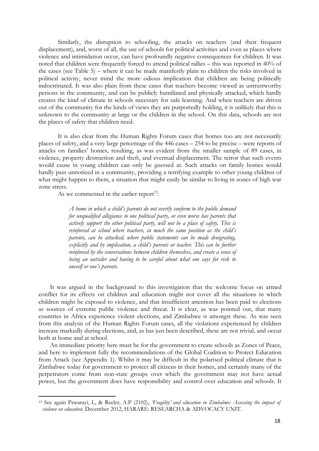Similarly, the disruption to schooling, the attacks on teachers (and their frequent displacement), and, worst of all, the use of schools for political activities and even as places where violence and intimidation occur, can have profoundly negative consequences for children. It was noted that children were frequently forced to attend political rallies – this was reported in 40% of the cases (see Table 5) – where it can be made manifestly plain to children the risks involved in political activity, never mind the more odious implication that children are being politically indoctrinated. It was also plain from these cases that teachers become viewed as untrustworthy persons in the community, and can be publicly humiliated and physically attacked, which hardly creates the kind of climate in schools necessary for safe learning. And when teachers are driven out of the community for the kinds of views they are purportedly holding, it is unlikely that this is unknown to the community at large or the children in the school. On this data, schools are not the places of safety that children need.

It is also clear from the Human Rights Forum cases that homes too are not necessarily places of safety, and a very large percentage of the 446 cases – 254 to be precise – were reports of attacks on families' homes, resulting, as was evident from the smaller sample of 89 cases, in violence, property destruction and theft, and eventual displacement. The terror that such events would cause in young children can only be guessed at. Such attacks on family homes would hardly pass unnoticed in a community, providing a terrifying example to other young children of what might happen to them, a situation that might easily be similar to living in zones of high war zone stress.

As we commented in the earlier report<sup>15</sup>:

 $\overline{\phantom{a}}$ 

*A home in which a child"s parents do not overtly conform to the public demand for unqualified allegiance to one political party, or even worse has parents that actively support the other political party, will not be a place of safety. This is reinforced at school where teachers, in much the same position as the child"s parents, can be attacked, where public statements can be made denigrating,*  explicitly and by *implication, a child's parents or teacher. This can be further reinforced by the conversations between children themselves, and create a sense of being an outsider and having to be careful about what one says for risk to oneself or one"s parents*.

It was argued in the background to this investigation that the welcome focus on armed conflict for its effects on children and education might not cover all the situations in which children might be exposed to violence, and that insufficient attention has been paid to elections as sources of extreme public violence and threat. It is clear, as was pointed out, that many countries in Africa experience violent elections, and Zimbabwe is amongst these. As was seen from this analysis of the Human Rights Forum cases, all the violations experienced by children increase markedly during elections, and, as has just been described, these are not trivial, and occur both at home and at school.

An immediate priority here must be for the government to create schools as Zones of Peace, and here to implement fully the recommendations of the Global Coalition to Protect Education from Attack (see Appendix 1). Whilst it may be difficult in the polarised political climate that is Zimbabwe today for government to protect all citizens in their homes, and certainly many of the perpetrators come from non-state groups over which the government may not have actual power, but the government does have responsibility and control over education and schools. It

<sup>15</sup> See again Pswarayi, L, & Reeler, A.P (2102), *"Fragility" and education in Zimbabwe: Assessing the impact of violence on education*. December 2012, HARARE: RESEARCHA & ADVOCACY UNIT.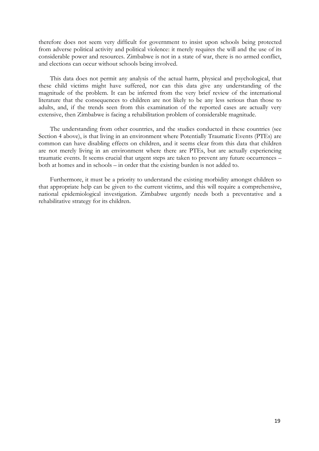therefore does not seem very difficult for government to insist upon schools being protected from adverse political activity and political violence: it merely requires the will and the use of its considerable power and resources. Zimbabwe is not in a state of war, there is no armed conflict, and elections can occur without schools being involved.

This data does not permit any analysis of the actual harm, physical and psychological, that these child victims might have suffered, nor can this data give any understanding of the magnitude of the problem. It can be inferred from the very brief review of the international literature that the consequences to children are not likely to be any less serious than those to adults, and, if the trends seen from this examination of the reported cases are actually very extensive, then Zimbabwe is facing a rehabilitation problem of considerable magnitude.

The understanding from other countries, and the studies conducted in these countries (see Section 4 above), is that living in an environment where Potentially Traumatic Events (PTEs) are common can have disabling effects on children, and it seems clear from this data that children are not merely living in an environment where there are PTEs, but are actually experiencing traumatic events. It seems crucial that urgent steps are taken to prevent any future occurrences – both at homes and in schools – in order that the existing burden is not added to.

Furthermore, it must be a priority to understand the existing morbidity amongst children so that appropriate help can be given to the current victims, and this will require a comprehensive, national epidemiological investigation. Zimbabwe urgently needs both a preventative and a rehabilitative strategy for its children.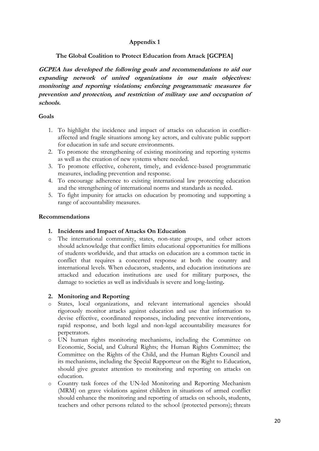# **Appendix 1**

# **The Global Coalition to Protect Education from Attack [GCPEA]**

**GCPEA has developed the following goals and recommendations to aid our expanding network of united organizations in our main objectives: monitoring and reporting violations; enforcing programmatic measures for prevention and protection, and restriction of military use and occupation of schools.**

# **Goals**

- 1. To highlight the incidence and impact of attacks on education in conflictaffected and fragile situations among key actors, and cultivate public support for education in safe and secure environments.
- 2. To promote the strengthening of existing monitoring and reporting systems as well as the creation of new systems where needed.
- 3. To promote effective, coherent, timely, and evidence-based programmatic measures, including prevention and response.
- 4. To encourage adherence to existing international law protecting education and the strengthening of international norms and standards as needed.
- 5. To fight impunity for attacks on education by promoting and supporting a range of accountability measures.

# **Recommendations**

# **1. Incidents and Impact of Attacks On Education**

o The international community, states, non-state groups, and other actors should acknowledge that conflict limits educational opportunities for millions of students worldwide, and that attacks on education are a common tactic in conflict that requires a concerted response at both the country and international levels. When educators, students, and education institutions are attacked and education institutions are used for military purposes, the damage to societies as well as individuals is severe and long-lasting**.**

# **2. Monitoring and Reporting**

- o States, local organizations, and relevant international agencies should rigorously monitor attacks against education and use that information to devise effective, coordinated responses, including preventive interventions, rapid response, and both legal and non-legal accountability measures for perpetrators.
- o UN human rights monitoring mechanisms, including the Committee on Economic, Social, and Cultural Rights; the Human Rights Committee; the Committee on the Rights of the Child, and the Human Rights Council and its mechanisms, including the Special Rapporteur on the Right to Education, should give greater attention to monitoring and reporting on attacks on education.
- o Country task forces of the UN-led Monitoring and Reporting Mechanism (MRM) on grave violations against children in situations of armed conflict should enhance the monitoring and reporting of attacks on schools, students, teachers and other persons related to the school (protected persons); threats